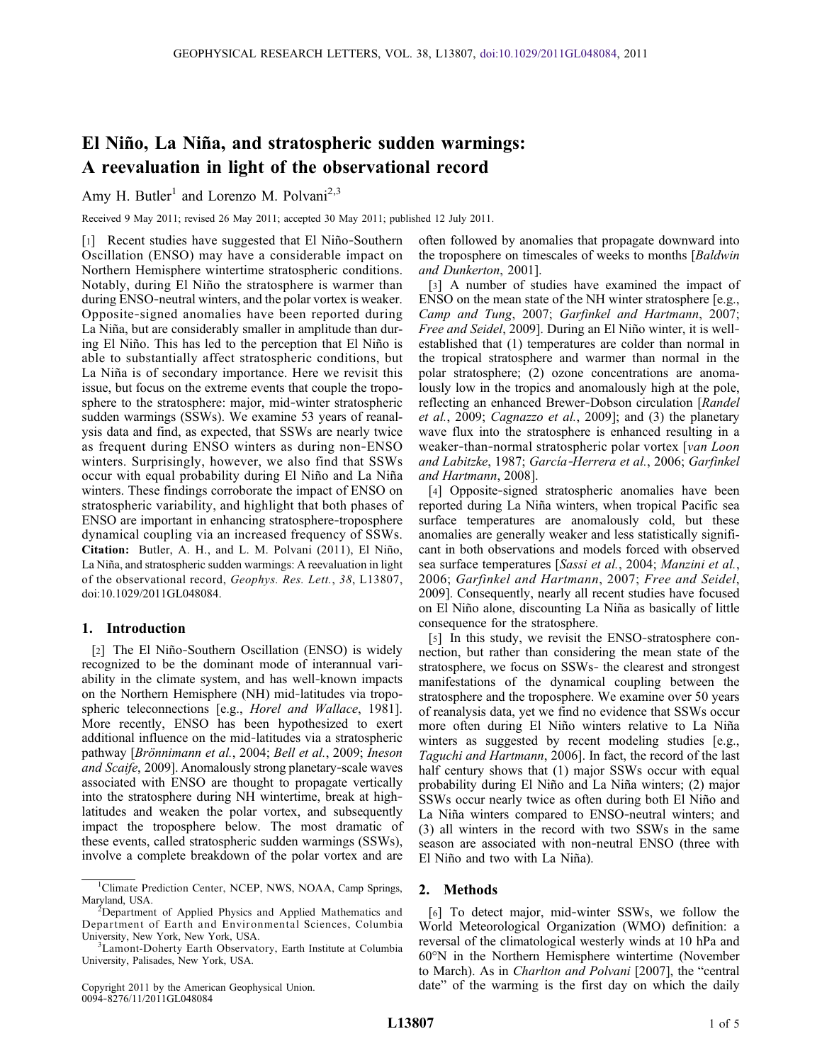# El Niño, La Niña, and stratospheric sudden warmings: A reevaluation in light of the observational record

Amy H. Butler<sup>1</sup> and Lorenzo M. Polvani<sup>2,3</sup>

Received 9 May 2011; revised 26 May 2011; accepted 30 May 2011; published 12 July 2011.

[1] Recent studies have suggested that El Niño‐Southern Oscillation (ENSO) may have a considerable impact on Northern Hemisphere wintertime stratospheric conditions. Notably, during El Niño the stratosphere is warmer than during ENSO‐neutral winters, and the polar vortex is weaker. Opposite‐signed anomalies have been reported during La Niña, but are considerably smaller in amplitude than during El Niño. This has led to the perception that El Niño is able to substantially affect stratospheric conditions, but La Niña is of secondary importance. Here we revisit this issue, but focus on the extreme events that couple the troposphere to the stratosphere: major, mid-winter stratospheric sudden warmings (SSWs). We examine 53 years of reanalysis data and find, as expected, that SSWs are nearly twice as frequent during ENSO winters as during non‐ENSO winters. Surprisingly, however, we also find that SSWs occur with equal probability during El Niño and La Niña winters. These findings corroborate the impact of ENSO on stratospheric variability, and highlight that both phases of ENSO are important in enhancing stratosphere‐troposphere dynamical coupling via an increased frequency of SSWs. Citation: Butler, A. H., and L. M. Polvani (2011), El Niño, La Niña, and stratospheric sudden warmings: A reevaluation in light of the observational record, Geophys. Res. Lett., 38, L13807, doi:10.1029/2011GL048084.

## 1. Introduction

[2] The El Niño-Southern Oscillation (ENSO) is widely recognized to be the dominant mode of interannual variability in the climate system, and has well‐known impacts on the Northern Hemisphere (NH) mid‐latitudes via tropospheric teleconnections [e.g., Horel and Wallace, 1981]. More recently, ENSO has been hypothesized to exert additional influence on the mid‐latitudes via a stratospheric pathway [Brönnimann et al., 2004; Bell et al., 2009; Ineson and Scaife, 2009]. Anomalously strong planetary‐scale waves associated with ENSO are thought to propagate vertically into the stratosphere during NH wintertime, break at highlatitudes and weaken the polar vortex, and subsequently impact the troposphere below. The most dramatic of these events, called stratospheric sudden warmings (SSWs), involve a complete breakdown of the polar vortex and are

often followed by anomalies that propagate downward into the troposphere on timescales of weeks to months [Baldwin and Dunkerton, 2001].

[3] A number of studies have examined the impact of ENSO on the mean state of the NH winter stratosphere [e.g., Camp and Tung, 2007; Garfinkel and Hartmann, 2007; Free and Seidel, 2009]. During an El Niño winter, it is well‐ established that (1) temperatures are colder than normal in the tropical stratosphere and warmer than normal in the polar stratosphere; (2) ozone concentrations are anomalously low in the tropics and anomalously high at the pole, reflecting an enhanced Brewer‐Dobson circulation [Randel et al., 2009; Cagnazzo et al., 2009]; and (3) the planetary wave flux into the stratosphere is enhanced resulting in a weaker-than-normal stratospheric polar vortex [van Loon and Labitzke, 1987; García‐Herrera et al., 2006; Garfinkel and Hartmann, 2008].

[4] Opposite-signed stratospheric anomalies have been reported during La Niña winters, when tropical Pacific sea surface temperatures are anomalously cold, but these anomalies are generally weaker and less statistically significant in both observations and models forced with observed sea surface temperatures [Sassi et al., 2004; Manzini et al., 2006; Garfinkel and Hartmann, 2007; Free and Seidel, 2009]. Consequently, nearly all recent studies have focused on El Niño alone, discounting La Niña as basically of little consequence for the stratosphere.

[5] In this study, we revisit the ENSO-stratosphere connection, but rather than considering the mean state of the stratosphere, we focus on SSWs‐ the clearest and strongest manifestations of the dynamical coupling between the stratosphere and the troposphere. We examine over 50 years of reanalysis data, yet we find no evidence that SSWs occur more often during El Niño winters relative to La Niña winters as suggested by recent modeling studies [e.g., Taguchi and Hartmann, 2006]. In fact, the record of the last half century shows that (1) major SSWs occur with equal probability during El Niño and La Niña winters; (2) major SSWs occur nearly twice as often during both El Niño and La Niña winters compared to ENSO‐neutral winters; and (3) all winters in the record with two SSWs in the same season are associated with non-neutral ENSO (three with El Niño and two with La Niña).

## 2. Methods

[6] To detect major, mid-winter SSWs, we follow the World Meteorological Organization (WMO) definition: a reversal of the climatological westerly winds at 10 hPa and 60°N in the Northern Hemisphere wintertime (November to March). As in Charlton and Polvani [2007], the "central date" of the warming is the first day on which the daily

<sup>&</sup>lt;sup>1</sup>Climate Prediction Center, NCEP, NWS, NOAA, Camp Springs, Maryland, USA. <sup>2</sup>

 $2$ Department of Applied Physics and Applied Mathematics and Department of Earth and Environmental Sciences, Columbia University, New York, New York, USA. <sup>3</sup>

<sup>&</sup>lt;sup>3</sup> Lamont-Doherty Earth Observatory, Earth Institute at Columbia University, Palisades, New York, USA.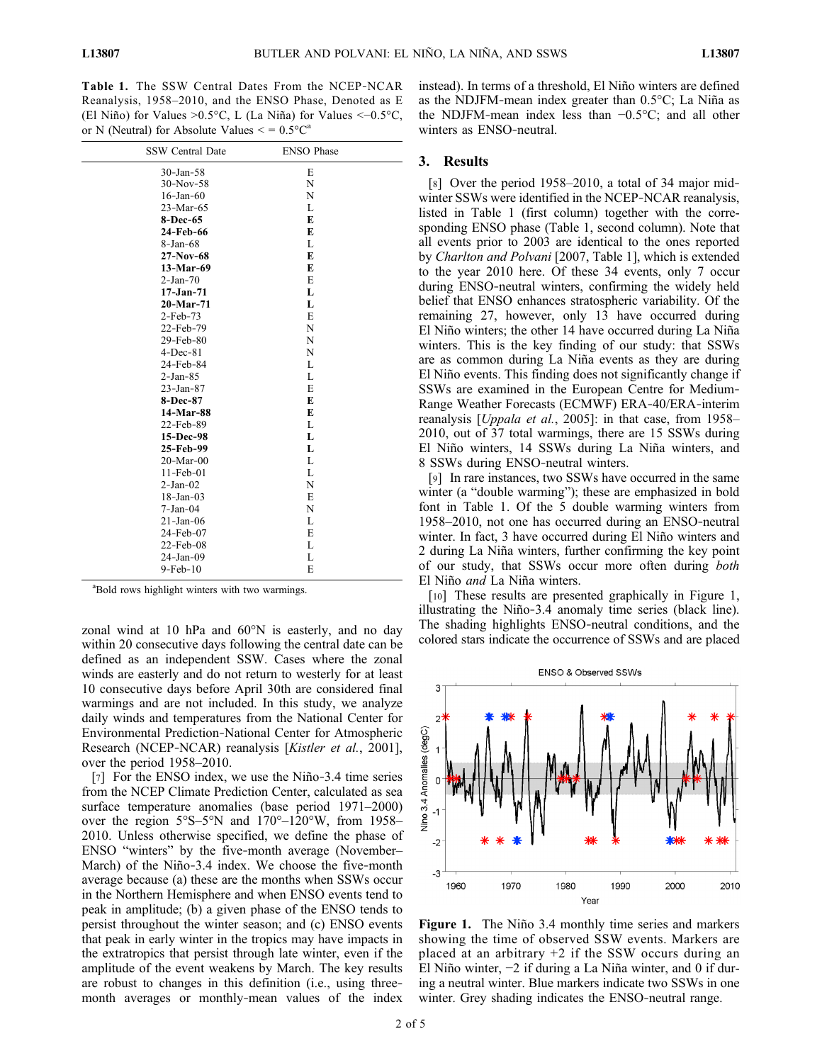Table 1. The SSW Central Dates From the NCEP‐NCAR Reanalysis, 1958–2010, and the ENSO Phase, Denoted as E (El Niño) for Values >0.5°C, L (La Niña) for Values <−0.5°C, or N (Neutral) for Absolute Values  $\leq$  = 0.5 $^{\circ}$ C<sup>a</sup>

| <b>SSW Central Date</b> | <b>ENSO Phase</b> |  |
|-------------------------|-------------------|--|
| $30$ -Jan-58            | E                 |  |
| $30-Nov-58$             | N                 |  |
| $16$ -Jan- $60$         | N                 |  |
| 23-Mar-65               | L                 |  |
| 8-Dec-65                | E                 |  |
| 24-Feb-66               | E                 |  |
| $8 - Jan - 68$          | L                 |  |
| $27-Nov-68$             | E                 |  |
| 13-Mar-69               | E                 |  |
| $2-Jan-70$              | E                 |  |
| $17 - Jan-71$           | L                 |  |
| $20-Mar-71$             | L                 |  |
| $2-Feb-73$              | E                 |  |
| 22-Feb-79               | N                 |  |
| $29$ -Feb-80            | N                 |  |
| $4-Dec-81$              | N                 |  |
| 24-Feb-84               | L                 |  |
| $2-Jan-85$              | L                 |  |
| $23 - Jan-87$           | E                 |  |
| 8-Dec-87                | E                 |  |
| 14-Mar-88               | E                 |  |
| 22-Feb-89               | L                 |  |
| 15-Dec-98               | L                 |  |
| 25-Feb-99               | L                 |  |
| $20-Mar-00$             | L                 |  |
| $11-Feb-01$             | L                 |  |
| $2-Jan-02$              | N                 |  |
| $18$ -Jan-03            | E                 |  |
| $7-Jan-04$              | N                 |  |
| $21$ -Jan-06            | L                 |  |
| 24-Feb-07               | E                 |  |
| $22$ -Feb-08            | L                 |  |
| $24-Jan-09$             | L                 |  |
| $9-Feb-10$              | E                 |  |

a Bold rows highlight winters with two warmings.

zonal wind at 10 hPa and 60°N is easterly, and no day within 20 consecutive days following the central date can be defined as an independent SSW. Cases where the zonal winds are easterly and do not return to westerly for at least 10 consecutive days before April 30th are considered final warmings and are not included. In this study, we analyze daily winds and temperatures from the National Center for Environmental Prediction‐National Center for Atmospheric Research (NCEP-NCAR) reanalysis [Kistler et al., 2001], over the period 1958–2010.

[7] For the ENSO index, we use the Niño-3.4 time series from the NCEP Climate Prediction Center, calculated as sea surface temperature anomalies (base period 1971–2000) over the region 5°S–5°N and 170°–120°W, from 1958– 2010. Unless otherwise specified, we define the phase of ENSO "winters" by the five-month average (November– March) of the Niño-3.4 index. We choose the five-month average because (a) these are the months when SSWs occur in the Northern Hemisphere and when ENSO events tend to peak in amplitude; (b) a given phase of the ENSO tends to persist throughout the winter season; and (c) ENSO events that peak in early winter in the tropics may have impacts in the extratropics that persist through late winter, even if the amplitude of the event weakens by March. The key results are robust to changes in this definition (i.e., using three‐ month averages or monthly-mean values of the index

instead). In terms of a threshold, El Niño winters are defined as the NDJFM‐mean index greater than 0.5°C; La Niña as the NDJFM‐mean index less than −0.5°C; and all other winters as ENSO‐neutral.

### 3. Results

[8] Over the period 1958–2010, a total of 34 major midwinter SSWs were identified in the NCEP-NCAR reanalysis, listed in Table 1 (first column) together with the corresponding ENSO phase (Table 1, second column). Note that all events prior to 2003 are identical to the ones reported by Charlton and Polvani [2007, Table 1], which is extended to the year 2010 here. Of these 34 events, only 7 occur during ENSO‐neutral winters, confirming the widely held belief that ENSO enhances stratospheric variability. Of the remaining 27, however, only 13 have occurred during El Niño winters; the other 14 have occurred during La Niña winters. This is the key finding of our study: that SSWs are as common during La Niña events as they are during El Niño events. This finding does not significantly change if SSWs are examined in the European Centre for Medium‐ Range Weather Forecasts (ECMWF) ERA‐40/ERA‐interim reanalysis [*Uppala et al.*, 2005]: in that case, from 1958– 2010, out of 37 total warmings, there are 15 SSWs during El Niño winters, 14 SSWs during La Niña winters, and 8 SSWs during ENSO‐neutral winters.

[9] In rare instances, two SSWs have occurred in the same winter (a "double warming"); these are emphasized in bold font in Table 1. Of the 5 double warming winters from 1958–2010, not one has occurred during an ENSO‐neutral winter. In fact, 3 have occurred during El Niño winters and 2 during La Niña winters, further confirming the key point of our study, that SSWs occur more often during both El Niño and La Niña winters.

[10] These results are presented graphically in Figure 1, illustrating the Niño‐3.4 anomaly time series (black line). The shading highlights ENSO‐neutral conditions, and the colored stars indicate the occurrence of SSWs and are placed



Figure 1. The Niño 3.4 monthly time series and markers showing the time of observed SSW events. Markers are placed at an arbitrary  $+2$  if the SSW occurs during an El Niño winter, −2 if during a La Niña winter, and 0 if during a neutral winter. Blue markers indicate two SSWs in one winter. Grey shading indicates the ENSO-neutral range.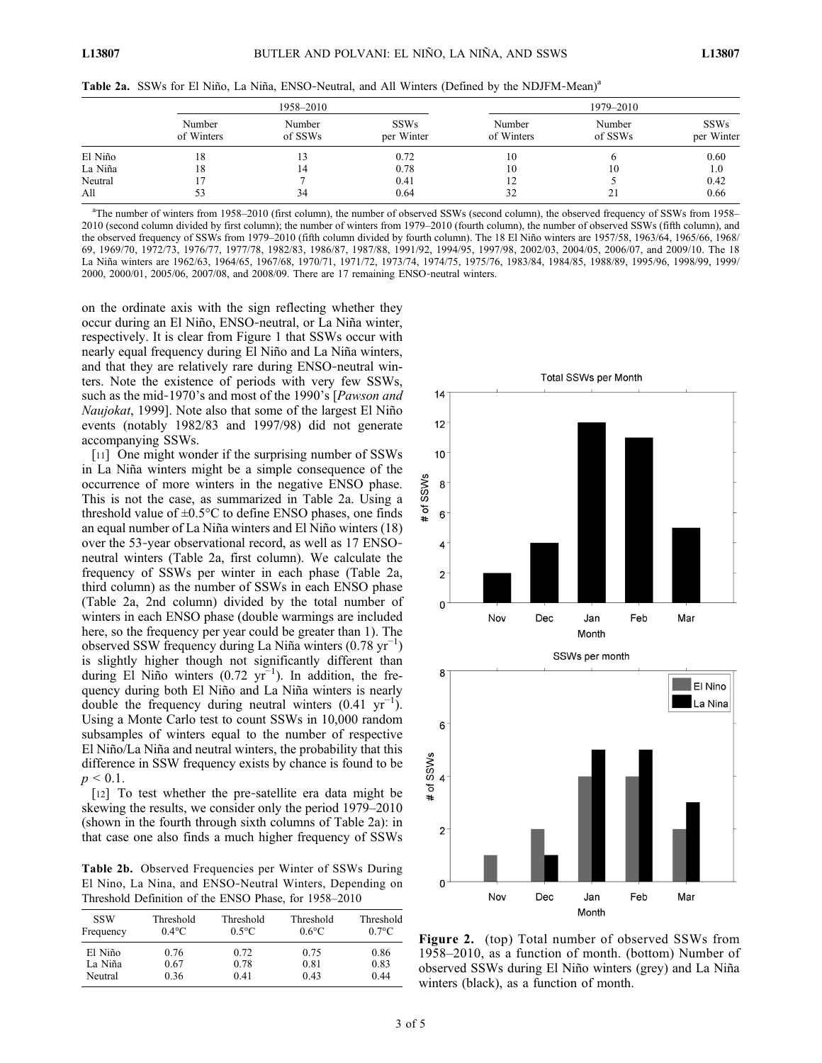| Table 2a. SSWs for El Niño, La Niña, ENSO-Neutral, and All Winters (Defined by the NDJFM-Mean) <sup>a</sup> |  |  |  |
|-------------------------------------------------------------------------------------------------------------|--|--|--|
|                                                                                                             |  |  |  |

|         |                      | 1958-2010         |                           |                      |                   |                           |
|---------|----------------------|-------------------|---------------------------|----------------------|-------------------|---------------------------|
|         | Number<br>of Winters | Number<br>of SSWs | <b>SSWs</b><br>per Winter | Number<br>of Winters | Number<br>of SSWs | <b>SSWs</b><br>per Winter |
| El Niño | 18                   |                   | 0.72                      | 10                   |                   | 0.60                      |
| La Niña | 18                   | 14                | 0.78                      | 10                   | 10                | 1.0                       |
| Neutral |                      |                   | 0.41                      | 12                   |                   | 0.42                      |
| All     |                      | 34                | 0.64                      | 32                   | 21                | 0.66                      |

a The number of winters from 1958–2010 (first column), the number of observed SSWs (second column), the observed frequency of SSWs from 1958– 2010 (second column divided by first column); the number of winters from 1979–2010 (fourth column), the number of observed SSWs (fifth column), and the observed frequency of SSWs from 1979–2010 (fifth column divided by fourth column). The 18 El Niño winters are 1957/58, 1963/64, 1965/66, 1968/ 69, 1969/70, 1972/73, 1976/77, 1977/78, 1982/83, 1986/87, 1987/88, 1991/92, 1994/95, 1997/98, 2002/03, 2004/05, 2006/07, and 2009/10. The 18 La Niña winters are 1962/63, 1964/65, 1967/68, 1970/71, 1971/72, 1973/74, 1974/75, 1975/76, 1983/84, 1984/85, 1988/89, 1995/96, 1998/99, 1999/ 2000, 2000/01, 2005/06, 2007/08, and 2008/09. There are 17 remaining ENSO‐neutral winters.

on the ordinate axis with the sign reflecting whether they occur during an El Niño, ENSO‐neutral, or La Niña winter, respectively. It is clear from Figure 1 that SSWs occur with nearly equal frequency during El Niño and La Niña winters, and that they are relatively rare during ENSO‐neutral winters. Note the existence of periods with very few SSWs, such as the mid-1970's and most of the 1990's [Pawson and Naujokat, 1999]. Note also that some of the largest El Niño events (notably 1982/83 and 1997/98) did not generate accompanying SSWs.

[11] One might wonder if the surprising number of SSWs in La Niña winters might be a simple consequence of the occurrence of more winters in the negative ENSO phase. This is not the case, as summarized in Table 2a. Using a threshold value of  $\pm 0.5^{\circ}$ C to define ENSO phases, one finds an equal number of La Niña winters and El Niño winters (18) over the 53‐year observational record, as well as 17 ENSO‐ neutral winters (Table 2a, first column). We calculate the frequency of SSWs per winter in each phase (Table 2a, third column) as the number of SSWs in each ENSO phase (Table 2a, 2nd column) divided by the total number of winters in each ENSO phase (double warmings are included here, so the frequency per year could be greater than 1). The observed SSW frequency during La Niña winters (0.78 yr−<sup>1</sup> ) is slightly higher though not significantly different than during El Niño winters  $(0.72 \text{ yr}^{-1})$ . In addition, the frequency during both El Niño and La Niña winters is nearly double the frequency during neutral winters  $(0.41 \text{ yr}^{-1})$ . Using a Monte Carlo test to count SSWs in 10,000 random subsamples of winters equal to the number of respective El Niño/La Niña and neutral winters, the probability that this difference in SSW frequency exists by chance is found to be  $p < 0.1$ .

[12] To test whether the pre-satellite era data might be skewing the results, we consider only the period 1979–2010 (shown in the fourth through sixth columns of Table 2a): in that case one also finds a much higher frequency of SSWs

Table 2b. Observed Frequencies per Winter of SSWs During El Nino, La Nina, and ENSO‐Neutral Winters, Depending on Threshold Definition of the ENSO Phase, for 1958–2010

| <b>SSW</b> | Threshold | Threshold       | Threshold       | Threshold |
|------------|-----------|-----------------|-----------------|-----------|
| Frequency  | $0.4$ °C  | $0.5^{\circ}$ C | $0.6^{\circ}$ C | $0.7$ °C  |
| El Niño    | 0.76      | 0.72            | 0.75            | 0.86      |
| La Niña    | 0.67      | 0.78            | 0.81            | 0.83      |
| Neutral    | 0.36      | 0.41            | 0.43            | 0.44      |



Figure 2. (top) Total number of observed SSWs from 1958–2010, as a function of month. (bottom) Number of observed SSWs during El Niño winters (grey) and La Niña winters (black), as a function of month.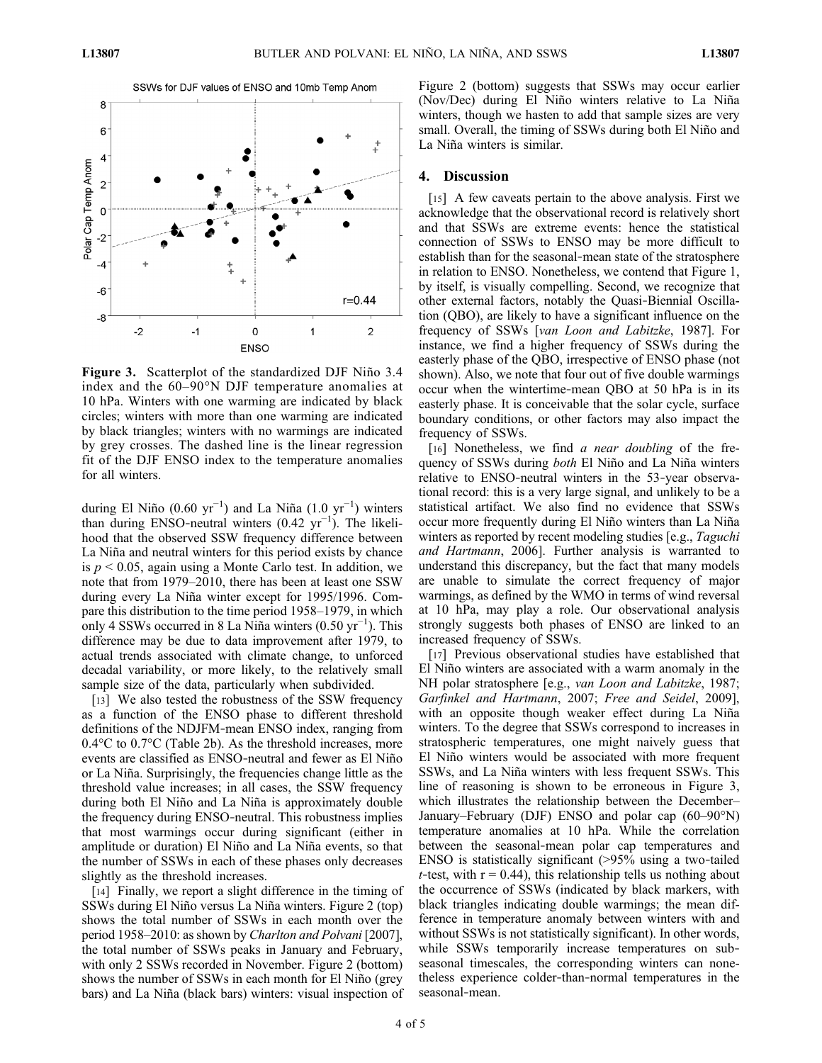

Figure 3. Scatterplot of the standardized DJF Niño 3.4 index and the 60–90°N DJF temperature anomalies at 10 hPa. Winters with one warming are indicated by black circles; winters with more than one warming are indicated by black triangles; winters with no warmings are indicated by grey crosses. The dashed line is the linear regression fit of the DJF ENSO index to the temperature anomalies for all winters.

during El Niño (0.60 yr<sup>-1</sup>) and La Niña (1.0 yr<sup>-1</sup>) winters than during ENSO‐neutral winters (0.42 yr−<sup>1</sup> ). The likelihood that the observed SSW frequency difference between La Niña and neutral winters for this period exists by chance is  $p < 0.05$ , again using a Monte Carlo test. In addition, we note that from 1979–2010, there has been at least one SSW during every La Niña winter except for 1995/1996. Compare this distribution to the time period 1958–1979, in which only 4 SSWs occurred in 8 La Niña winters (0.50  $yr^{-1}$ ). This difference may be due to data improvement after 1979, to actual trends associated with climate change, to unforced decadal variability, or more likely, to the relatively small sample size of the data, particularly when subdivided.

[13] We also tested the robustness of the SSW frequency as a function of the ENSO phase to different threshold definitions of the NDJFM‐mean ENSO index, ranging from 0.4°C to 0.7°C (Table 2b). As the threshold increases, more events are classified as ENSO‐neutral and fewer as El Niño or La Niña. Surprisingly, the frequencies change little as the threshold value increases; in all cases, the SSW frequency during both El Niño and La Niña is approximately double the frequency during ENSO‐neutral. This robustness implies that most warmings occur during significant (either in amplitude or duration) El Niño and La Niña events, so that the number of SSWs in each of these phases only decreases slightly as the threshold increases.

[14] Finally, we report a slight difference in the timing of SSWs during El Niño versus La Niña winters. Figure 2 (top) shows the total number of SSWs in each month over the period 1958–2010: as shown by Charlton and Polvani [2007], the total number of SSWs peaks in January and February, with only 2 SSWs recorded in November. Figure 2 (bottom) shows the number of SSWs in each month for El Niño (grey bars) and La Niña (black bars) winters: visual inspection of Figure 2 (bottom) suggests that SSWs may occur earlier (Nov/Dec) during El Niño winters relative to La Niña winters, though we hasten to add that sample sizes are very small. Overall, the timing of SSWs during both El Niño and La Niña winters is similar.

### 4. Discussion

[15] A few caveats pertain to the above analysis. First we acknowledge that the observational record is relatively short and that SSWs are extreme events: hence the statistical connection of SSWs to ENSO may be more difficult to establish than for the seasonal‐mean state of the stratosphere in relation to ENSO. Nonetheless, we contend that Figure 1, by itself, is visually compelling. Second, we recognize that other external factors, notably the Quasi‐Biennial Oscillation (QBO), are likely to have a significant influence on the frequency of SSWs [van Loon and Labitzke, 1987]. For instance, we find a higher frequency of SSWs during the easterly phase of the QBO, irrespective of ENSO phase (not shown). Also, we note that four out of five double warmings occur when the wintertime‐mean QBO at 50 hPa is in its easterly phase. It is conceivable that the solar cycle, surface boundary conditions, or other factors may also impact the frequency of SSWs.

[16] Nonetheless, we find a near doubling of the frequency of SSWs during both El Niño and La Niña winters relative to ENSO‐neutral winters in the 53‐year observational record: this is a very large signal, and unlikely to be a statistical artifact. We also find no evidence that SSWs occur more frequently during El Niño winters than La Niña winters as reported by recent modeling studies [e.g., *Taguchi* and Hartmann, 2006]. Further analysis is warranted to understand this discrepancy, but the fact that many models are unable to simulate the correct frequency of major warmings, as defined by the WMO in terms of wind reversal at 10 hPa, may play a role. Our observational analysis strongly suggests both phases of ENSO are linked to an increased frequency of SSWs.

[17] Previous observational studies have established that El Niño winters are associated with a warm anomaly in the NH polar stratosphere [e.g., van Loon and Labitzke, 1987; Garfinkel and Hartmann, 2007; Free and Seidel, 2009], with an opposite though weaker effect during La Niña winters. To the degree that SSWs correspond to increases in stratospheric temperatures, one might naively guess that El Niño winters would be associated with more frequent SSWs, and La Niña winters with less frequent SSWs. This line of reasoning is shown to be erroneous in Figure 3, which illustrates the relationship between the December– January–February (DJF) ENSO and polar cap (60–90°N) temperature anomalies at 10 hPa. While the correlation between the seasonal‐mean polar cap temperatures and ENSO is statistically significant (>95% using a two-tailed t-test, with  $r = 0.44$ ), this relationship tells us nothing about the occurrence of SSWs (indicated by black markers, with black triangles indicating double warmings; the mean difference in temperature anomaly between winters with and without SSWs is not statistically significant). In other words, while SSWs temporarily increase temperatures on subseasonal timescales, the corresponding winters can nonetheless experience colder‐than‐normal temperatures in the seasonal‐mean.